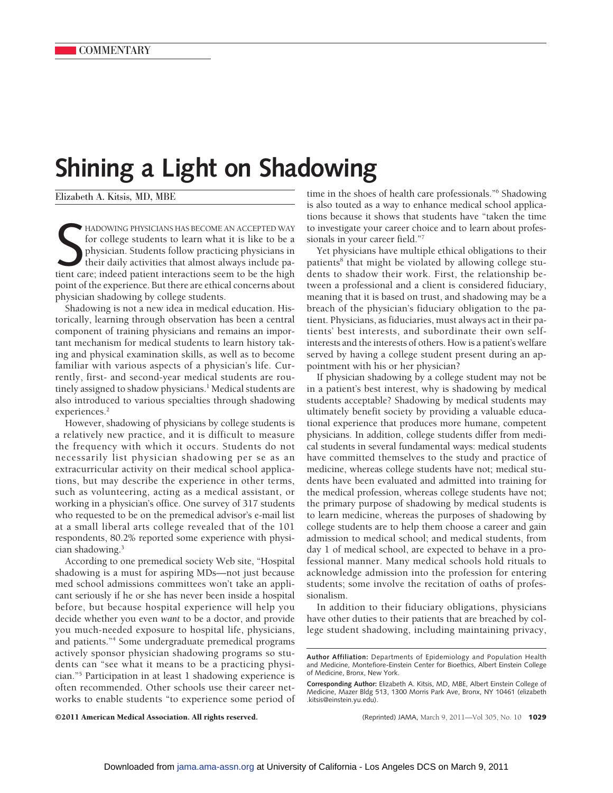## **Shining a Light on Shadowing**

Elizabeth A. Kitsis, MD, MBE

HADOWING PHYSICIANS HAS BECOME AN ACCEPTED WAY<br>for college students to learn what it is like to be a<br>physician. Students follow practicing physicians in<br>their daily activities that almost always include pa-<br>tient care; ind HADOWING PHYSICIANS HAS BECOME AN ACCEPTED WAY for college students to learn what it is like to be a physician. Students follow practicing physicians in their daily activities that almost always include papoint of the experience. But there are ethical concerns about physician shadowing by college students.

Shadowing is not a new idea in medical education. Historically, learning through observation has been a central component of training physicians and remains an important mechanism for medical students to learn history taking and physical examination skills, as well as to become familiar with various aspects of a physician's life. Currently, first- and second-year medical students are routinely assigned to shadow physicians.<sup>1</sup> Medical students are also introduced to various specialties through shadowing experiences.<sup>2</sup>

However, shadowing of physicians by college students is a relatively new practice, and it is difficult to measure the frequency with which it occurs. Students do not necessarily list physician shadowing per se as an extracurricular activity on their medical school applications, but may describe the experience in other terms, such as volunteering, acting as a medical assistant, or working in a physician's office. One survey of 317 students who requested to be on the premedical advisor's e-mail list at a small liberal arts college revealed that of the 101 respondents, 80.2% reported some experience with physician shadowing.3

According to one premedical society Web site, "Hospital shadowing is a must for aspiring MDs—not just because med school admissions committees won't take an applicant seriously if he or she has never been inside a hospital before, but because hospital experience will help you decide whether you even *want* to be a doctor, and provide you much-needed exposure to hospital life, physicians, and patients."4 Some undergraduate premedical programs actively sponsor physician shadowing programs so students can "see what it means to be a practicing physician."5 Participation in at least 1 shadowing experience is often recommended. Other schools use their career networks to enable students "to experience some period of time in the shoes of health care professionals."6 Shadowing is also touted as a way to enhance medical school applications because it shows that students have "taken the time to investigate your career choice and to learn about professionals in your career field."7

Yet physicians have multiple ethical obligations to their patients<sup>8</sup> that might be violated by allowing college students to shadow their work. First, the relationship between a professional and a client is considered fiduciary, meaning that it is based on trust, and shadowing may be a breach of the physician's fiduciary obligation to the patient. Physicians, as fiduciaries, must always act in their patients' best interests, and subordinate their own selfinterests and the interests of others. How is a patient's welfare served by having a college student present during an appointment with his or her physician?

If physician shadowing by a college student may not be in a patient's best interest, why is shadowing by medical students acceptable? Shadowing by medical students may ultimately benefit society by providing a valuable educational experience that produces more humane, competent physicians. In addition, college students differ from medical students in several fundamental ways: medical students have committed themselves to the study and practice of medicine, whereas college students have not; medical students have been evaluated and admitted into training for the medical profession, whereas college students have not; the primary purpose of shadowing by medical students is to learn medicine, whereas the purposes of shadowing by college students are to help them choose a career and gain admission to medical school; and medical students, from day 1 of medical school, are expected to behave in a professional manner. Many medical schools hold rituals to acknowledge admission into the profession for entering students; some involve the recitation of oaths of professionalism.

In addition to their fiduciary obligations, physicians have other duties to their patients that are breached by college student shadowing, including maintaining privacy,

©2011 American Medical Association. All rights reserved. (Reprinted) JAMA, March 9, 2011—Vol 305, No. 10 **1029**

**Author Affiliation:** Departments of Epidemiology and Population Health and Medicine, Montefiore-Einstein Center for Bioethics, Albert Einstein College of Medicine, Bronx, New York.

**Corresponding Author:** Elizabeth A. Kitsis, MD, MBE, Albert Einstein College of Medicine, Mazer Bldg 513, 1300 Morris Park Ave, Bronx, NY 10461 (elizabeth .kitsis@einstein.yu.edu).